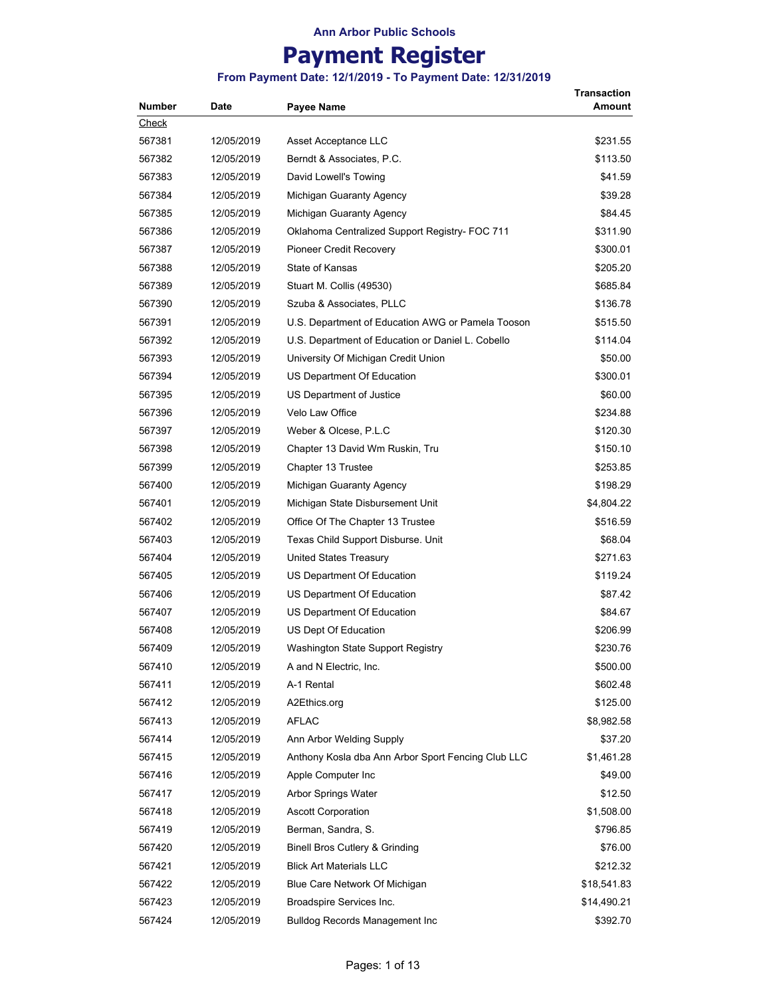# **Payment Register**

| <b>Number</b> | Date       | Payee Name                                         | Transaction<br>Amount |
|---------------|------------|----------------------------------------------------|-----------------------|
| Check         |            |                                                    |                       |
| 567381        | 12/05/2019 | Asset Acceptance LLC                               | \$231.55              |
| 567382        | 12/05/2019 | Berndt & Associates, P.C.                          | \$113.50              |
| 567383        | 12/05/2019 | David Lowell's Towing                              | \$41.59               |
| 567384        | 12/05/2019 | Michigan Guaranty Agency                           | \$39.28               |
| 567385        | 12/05/2019 | Michigan Guaranty Agency                           | \$84.45               |
| 567386        | 12/05/2019 | Oklahoma Centralized Support Registry- FOC 711     | \$311.90              |
| 567387        | 12/05/2019 | Pioneer Credit Recovery                            | \$300.01              |
| 567388        | 12/05/2019 | State of Kansas                                    | \$205.20              |
| 567389        | 12/05/2019 | Stuart M. Collis (49530)                           | \$685.84              |
| 567390        | 12/05/2019 | Szuba & Associates, PLLC                           | \$136.78              |
| 567391        | 12/05/2019 | U.S. Department of Education AWG or Pamela Tooson  | \$515.50              |
| 567392        | 12/05/2019 | U.S. Department of Education or Daniel L. Cobello  | \$114.04              |
| 567393        | 12/05/2019 | University Of Michigan Credit Union                | \$50.00               |
| 567394        | 12/05/2019 | US Department Of Education                         | \$300.01              |
| 567395        | 12/05/2019 | US Department of Justice                           | \$60.00               |
| 567396        | 12/05/2019 | Velo Law Office                                    | \$234.88              |
| 567397        | 12/05/2019 | Weber & Olcese, P.L.C                              | \$120.30              |
| 567398        | 12/05/2019 | Chapter 13 David Wm Ruskin, Tru                    | \$150.10              |
| 567399        | 12/05/2019 | Chapter 13 Trustee                                 | \$253.85              |
| 567400        | 12/05/2019 | Michigan Guaranty Agency                           | \$198.29              |
| 567401        | 12/05/2019 | Michigan State Disbursement Unit                   | \$4,804.22            |
| 567402        | 12/05/2019 | Office Of The Chapter 13 Trustee                   | \$516.59              |
| 567403        | 12/05/2019 | Texas Child Support Disburse. Unit                 | \$68.04               |
| 567404        | 12/05/2019 | <b>United States Treasury</b>                      | \$271.63              |
| 567405        | 12/05/2019 | US Department Of Education                         | \$119.24              |
| 567406        | 12/05/2019 | US Department Of Education                         | \$87.42               |
| 567407        | 12/05/2019 | US Department Of Education                         | \$84.67               |
| 567408        | 12/05/2019 | US Dept Of Education                               | \$206.99              |
| 567409        | 12/05/2019 | Washington State Support Registry                  | \$230.76              |
| 567410        | 12/05/2019 | A and N Electric, Inc.                             | \$500.00              |
| 567411        | 12/05/2019 | A-1 Rental                                         | \$602.48              |
| 567412        | 12/05/2019 | A2Ethics.org                                       | \$125.00              |
| 567413        | 12/05/2019 | <b>AFLAC</b>                                       | \$8,982.58            |
| 567414        | 12/05/2019 | Ann Arbor Welding Supply                           | \$37.20               |
| 567415        | 12/05/2019 | Anthony Kosla dba Ann Arbor Sport Fencing Club LLC | \$1,461.28            |
| 567416        | 12/05/2019 | Apple Computer Inc                                 | \$49.00               |
| 567417        | 12/05/2019 | Arbor Springs Water                                | \$12.50               |
| 567418        | 12/05/2019 | <b>Ascott Corporation</b>                          | \$1,508.00            |
| 567419        | 12/05/2019 | Berman, Sandra, S.                                 | \$796.85              |
| 567420        | 12/05/2019 | <b>Binell Bros Cutlery &amp; Grinding</b>          | \$76.00               |
| 567421        | 12/05/2019 | <b>Blick Art Materials LLC</b>                     | \$212.32              |
| 567422        | 12/05/2019 | Blue Care Network Of Michigan                      | \$18,541.83           |
| 567423        | 12/05/2019 | Broadspire Services Inc.                           | \$14,490.21           |
| 567424        | 12/05/2019 | <b>Bulldog Records Management Inc</b>              | \$392.70              |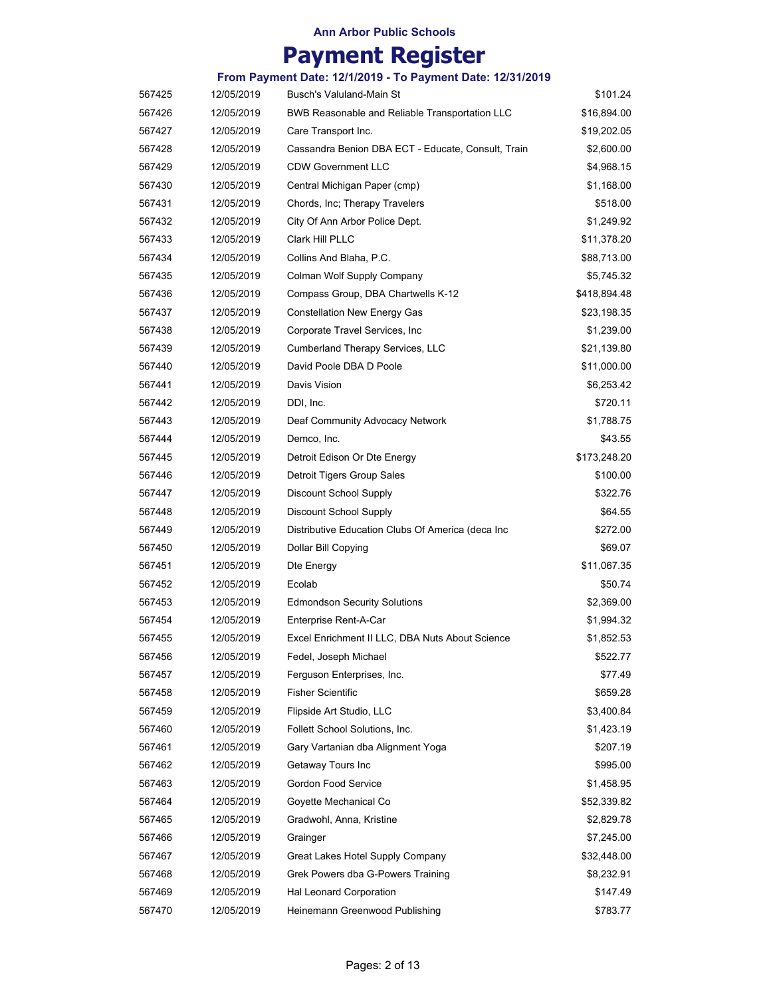|        |            | From Payment Date: 12/1/2019 - To Payment Date: 12/31/2019 |              |
|--------|------------|------------------------------------------------------------|--------------|
| 567425 | 12/05/2019 | Busch's Valuland-Main St                                   | \$101.24     |
| 567426 | 12/05/2019 | BWB Reasonable and Reliable Transportation LLC             | \$16,894.00  |
| 567427 | 12/05/2019 | Care Transport Inc.                                        | \$19,202.05  |
| 567428 | 12/05/2019 | Cassandra Benion DBA ECT - Educate, Consult, Train         | \$2,600.00   |
| 567429 | 12/05/2019 | <b>CDW Government LLC</b>                                  | \$4,968.15   |
| 567430 | 12/05/2019 | Central Michigan Paper (cmp)                               | \$1,168.00   |
| 567431 | 12/05/2019 | Chords, Inc; Therapy Travelers                             | \$518.00     |
| 567432 | 12/05/2019 | City Of Ann Arbor Police Dept.                             | \$1,249.92   |
| 567433 | 12/05/2019 | Clark Hill PLLC                                            | \$11,378.20  |
| 567434 | 12/05/2019 | Collins And Blaha, P.C.                                    | \$88,713.00  |
| 567435 | 12/05/2019 | Colman Wolf Supply Company                                 | \$5,745.32   |
| 567436 | 12/05/2019 | Compass Group, DBA Chartwells K-12                         | \$418,894.48 |
| 567437 | 12/05/2019 | <b>Constellation New Energy Gas</b>                        | \$23,198.35  |
| 567438 | 12/05/2019 | Corporate Travel Services, Inc.                            | \$1,239.00   |
| 567439 | 12/05/2019 | Cumberland Therapy Services, LLC                           | \$21,139.80  |
| 567440 | 12/05/2019 | David Poole DBA D Poole                                    | \$11,000.00  |
| 567441 | 12/05/2019 | Davis Vision                                               | \$6,253.42   |
| 567442 | 12/05/2019 | DDI, Inc.                                                  | \$720.11     |
| 567443 | 12/05/2019 | Deaf Community Advocacy Network                            | \$1,788.75   |
| 567444 | 12/05/2019 | Demco, Inc.                                                | \$43.55      |
| 567445 | 12/05/2019 | Detroit Edison Or Dte Energy                               | \$173,248.20 |
| 567446 | 12/05/2019 | Detroit Tigers Group Sales                                 | \$100.00     |
| 567447 | 12/05/2019 | Discount School Supply                                     | \$322.76     |
| 567448 | 12/05/2019 | <b>Discount School Supply</b>                              | \$64.55      |
| 567449 | 12/05/2019 | Distributive Education Clubs Of America (deca Inc          | \$272.00     |
| 567450 | 12/05/2019 | Dollar Bill Copying                                        | \$69.07      |
| 567451 | 12/05/2019 | Dte Energy                                                 | \$11,067.35  |
| 567452 | 12/05/2019 | Ecolab                                                     | \$50.74      |
| 567453 | 12/05/2019 | <b>Edmondson Security Solutions</b>                        | \$2,369.00   |
| 567454 | 12/05/2019 | Enterprise Rent-A-Car                                      | \$1,994.32   |
| 567455 | 12/05/2019 | Excel Enrichment II LLC, DBA Nuts About Science            | \$1,852.53   |
| 567456 | 12/05/2019 | Fedel, Joseph Michael                                      | \$522.77     |
| 567457 | 12/05/2019 | Ferguson Enterprises, Inc.                                 | \$77.49      |
| 567458 | 12/05/2019 | <b>Fisher Scientific</b>                                   | \$659.28     |
| 567459 | 12/05/2019 | Flipside Art Studio, LLC                                   | \$3,400.84   |
| 567460 | 12/05/2019 | Follett School Solutions, Inc.                             | \$1,423.19   |
| 567461 | 12/05/2019 | Gary Vartanian dba Alignment Yoga                          | \$207.19     |
| 567462 | 12/05/2019 | Getaway Tours Inc                                          | \$995.00     |
| 567463 | 12/05/2019 | Gordon Food Service                                        | \$1,458.95   |
| 567464 | 12/05/2019 | Goyette Mechanical Co                                      | \$52,339.82  |
| 567465 | 12/05/2019 | Gradwohl, Anna, Kristine                                   | \$2,829.78   |
| 567466 | 12/05/2019 | Grainger                                                   | \$7,245.00   |
| 567467 | 12/05/2019 | Great Lakes Hotel Supply Company                           | \$32,448.00  |
| 567468 | 12/05/2019 | Grek Powers dba G-Powers Training                          | \$8,232.91   |
| 567469 | 12/05/2019 | Hal Leonard Corporation                                    | \$147.49     |
| 567470 | 12/05/2019 | Heinemann Greenwood Publishing                             | \$783.77     |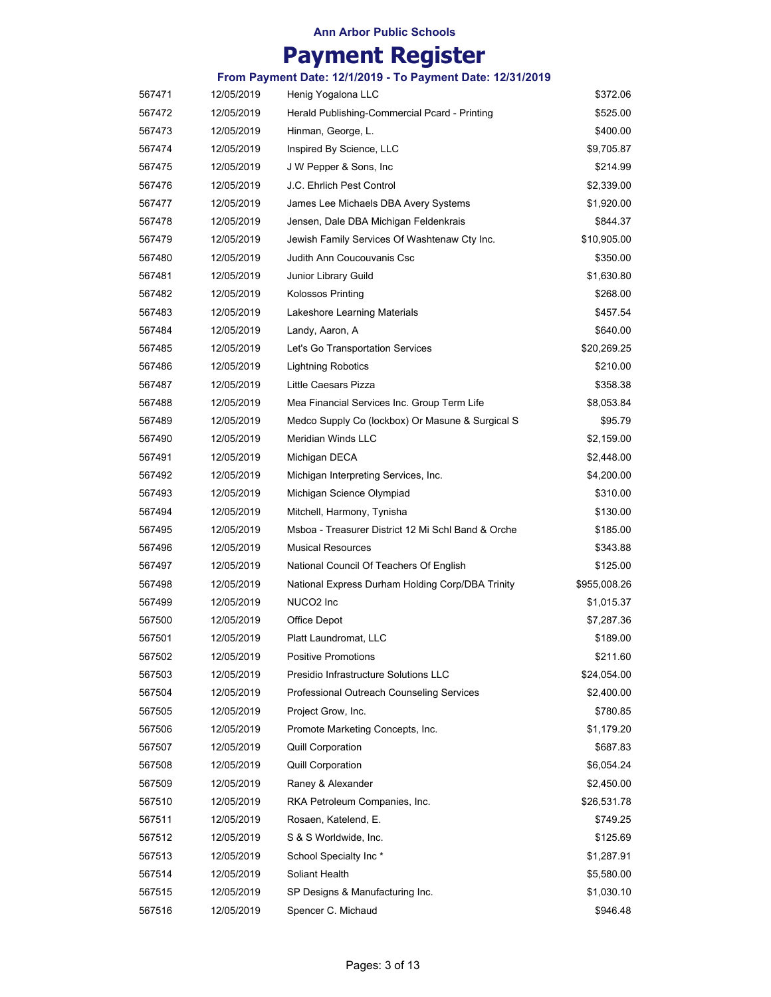|        |            | From Payment Date: 12/1/2019 - To Payment Date: 12/31/2019 |              |
|--------|------------|------------------------------------------------------------|--------------|
| 567471 | 12/05/2019 | Henig Yogalona LLC                                         | \$372.06     |
| 567472 | 12/05/2019 | Herald Publishing-Commercial Pcard - Printing              | \$525.00     |
| 567473 | 12/05/2019 | Hinman, George, L.                                         | \$400.00     |
| 567474 | 12/05/2019 | Inspired By Science, LLC                                   | \$9,705.87   |
| 567475 | 12/05/2019 | J W Pepper & Sons, Inc.                                    | \$214.99     |
| 567476 | 12/05/2019 | J.C. Ehrlich Pest Control                                  | \$2,339.00   |
| 567477 | 12/05/2019 | James Lee Michaels DBA Avery Systems                       | \$1,920.00   |
| 567478 | 12/05/2019 | Jensen, Dale DBA Michigan Feldenkrais                      | \$844.37     |
| 567479 | 12/05/2019 | Jewish Family Services Of Washtenaw Cty Inc.               | \$10,905.00  |
| 567480 | 12/05/2019 | Judith Ann Coucouvanis Csc                                 | \$350.00     |
| 567481 | 12/05/2019 | Junior Library Guild                                       | \$1,630.80   |
| 567482 | 12/05/2019 | Kolossos Printing                                          | \$268.00     |
| 567483 | 12/05/2019 | Lakeshore Learning Materials                               | \$457.54     |
| 567484 | 12/05/2019 | Landy, Aaron, A                                            | \$640.00     |
| 567485 | 12/05/2019 | Let's Go Transportation Services                           | \$20,269.25  |
| 567486 | 12/05/2019 | <b>Lightning Robotics</b>                                  | \$210.00     |
| 567487 | 12/05/2019 | Little Caesars Pizza                                       | \$358.38     |
| 567488 | 12/05/2019 | Mea Financial Services Inc. Group Term Life                | \$8,053.84   |
| 567489 | 12/05/2019 | Medco Supply Co (lockbox) Or Masune & Surgical S           | \$95.79      |
| 567490 | 12/05/2019 | <b>Meridian Winds LLC</b>                                  | \$2,159.00   |
| 567491 | 12/05/2019 | Michigan DECA                                              | \$2,448.00   |
| 567492 | 12/05/2019 | Michigan Interpreting Services, Inc.                       | \$4,200.00   |
| 567493 | 12/05/2019 | Michigan Science Olympiad                                  | \$310.00     |
| 567494 | 12/05/2019 | Mitchell, Harmony, Tynisha                                 | \$130.00     |
| 567495 | 12/05/2019 | Msboa - Treasurer District 12 Mi Schl Band & Orche         | \$185.00     |
| 567496 | 12/05/2019 | <b>Musical Resources</b>                                   | \$343.88     |
| 567497 | 12/05/2019 | National Council Of Teachers Of English                    | \$125.00     |
| 567498 | 12/05/2019 | National Express Durham Holding Corp/DBA Trinity           | \$955,008.26 |
| 567499 | 12/05/2019 | NUCO2 Inc                                                  | \$1,015.37   |
| 567500 | 12/05/2019 | Office Depot                                               | \$7,287.36   |
| 567501 | 12/05/2019 | Platt Laundromat, LLC                                      | \$189.00     |
| 567502 | 12/05/2019 | <b>Positive Promotions</b>                                 | \$211.60     |
| 567503 | 12/05/2019 | Presidio Infrastructure Solutions LLC                      | \$24,054.00  |
| 567504 | 12/05/2019 | Professional Outreach Counseling Services                  | \$2,400.00   |
| 567505 | 12/05/2019 | Project Grow, Inc.                                         | \$780.85     |
| 567506 | 12/05/2019 | Promote Marketing Concepts, Inc.                           | \$1,179.20   |
| 567507 | 12/05/2019 | <b>Quill Corporation</b>                                   | \$687.83     |
| 567508 | 12/05/2019 | <b>Quill Corporation</b>                                   | \$6,054.24   |
| 567509 | 12/05/2019 | Raney & Alexander                                          | \$2,450.00   |
| 567510 | 12/05/2019 | RKA Petroleum Companies, Inc.                              | \$26,531.78  |
| 567511 | 12/05/2019 | Rosaen, Katelend, E.                                       | \$749.25     |
| 567512 | 12/05/2019 | S & S Worldwide, Inc.                                      | \$125.69     |
| 567513 | 12/05/2019 | School Specialty Inc*                                      | \$1,287.91   |
| 567514 | 12/05/2019 | Soliant Health                                             | \$5,580.00   |
| 567515 | 12/05/2019 | SP Designs & Manufacturing Inc.                            | \$1,030.10   |
| 567516 | 12/05/2019 | Spencer C. Michaud                                         | \$946.48     |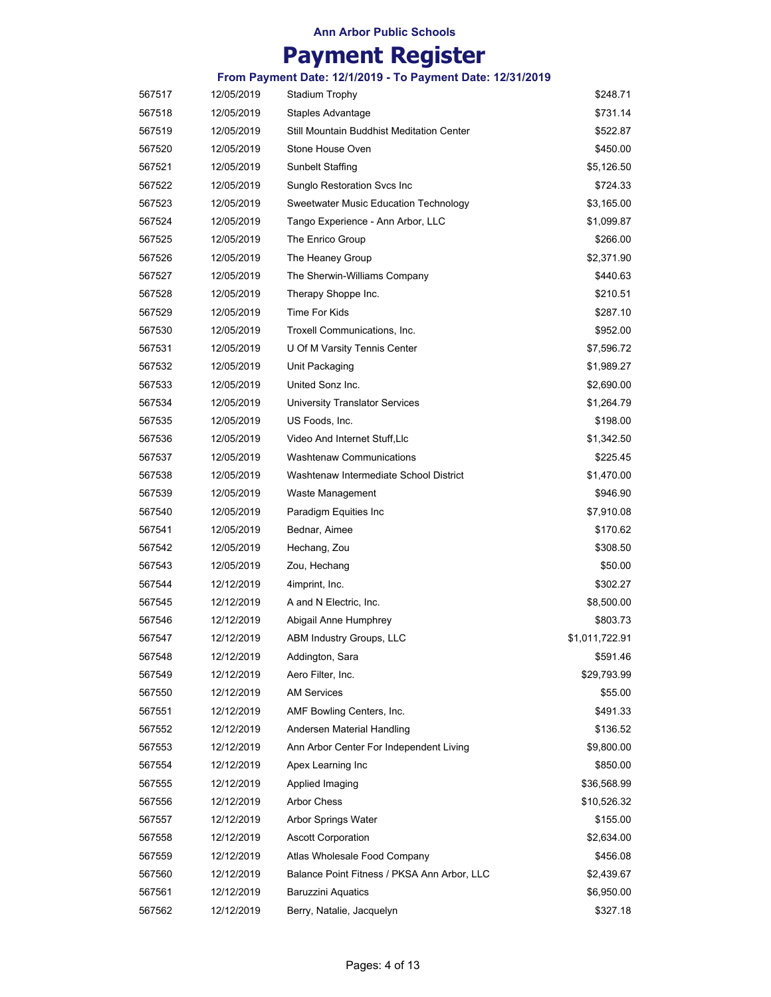# **Payment Register**

| 567517 | 12/05/2019               | <b>Stadium Trophy</b>                            | \$248.71               |
|--------|--------------------------|--------------------------------------------------|------------------------|
| 567518 | 12/05/2019               | Staples Advantage                                | \$731.14               |
| 567519 | 12/05/2019               | Still Mountain Buddhist Meditation Center        | \$522.87               |
| 567520 | 12/05/2019               | Stone House Oven                                 | \$450.00               |
| 567521 | 12/05/2019               | <b>Sunbelt Staffing</b>                          | \$5,126.50             |
| 567522 | 12/05/2019               | Sunglo Restoration Svcs Inc                      | \$724.33               |
| 567523 | 12/05/2019               | Sweetwater Music Education Technology            | \$3,165.00             |
| 567524 | 12/05/2019               | Tango Experience - Ann Arbor, LLC                | \$1,099.87             |
| 567525 | 12/05/2019               | The Enrico Group                                 | \$266.00               |
| 567526 | 12/05/2019               | The Heaney Group                                 | \$2,371.90             |
| 567527 | 12/05/2019               | The Sherwin-Williams Company                     | \$440.63               |
| 567528 | 12/05/2019               | Therapy Shoppe Inc.                              | \$210.51               |
| 567529 | 12/05/2019               | <b>Time For Kids</b>                             | \$287.10               |
| 567530 | 12/05/2019               | Troxell Communications, Inc.                     | \$952.00               |
| 567531 | 12/05/2019               | U Of M Varsity Tennis Center                     | \$7,596.72             |
| 567532 | 12/05/2019               | Unit Packaging                                   | \$1,989.27             |
| 567533 | 12/05/2019               | United Sonz Inc.                                 | \$2,690.00             |
| 567534 | 12/05/2019               | <b>University Translator Services</b>            | \$1,264.79             |
| 567535 | 12/05/2019               | US Foods, Inc.                                   | \$198.00               |
| 567536 | 12/05/2019               | Video And Internet Stuff, Llc                    | \$1,342.50             |
| 567537 | 12/05/2019               | <b>Washtenaw Communications</b>                  | \$225.45               |
| 567538 | 12/05/2019               | Washtenaw Intermediate School District           | \$1,470.00             |
| 567539 | 12/05/2019               | Waste Management                                 | \$946.90               |
| 567540 | 12/05/2019               | Paradigm Equities Inc                            | \$7,910.08             |
| 567541 | 12/05/2019               | Bednar, Aimee                                    | \$170.62               |
| 567542 | 12/05/2019               | Hechang, Zou                                     | \$308.50               |
| 567543 | 12/05/2019               | Zou, Hechang                                     | \$50.00                |
| 567544 | 12/12/2019               | 4imprint, Inc.                                   | \$302.27               |
| 567545 | 12/12/2019               | A and N Electric, Inc.                           | \$8,500.00             |
| 567546 | 12/12/2019               | Abigail Anne Humphrey                            | \$803.73               |
| 567547 | 12/12/2019               | ABM Industry Groups, LLC                         | \$1,011,722.91         |
| 567548 | 12/12/2019               | Addington, Sara                                  | \$591.46               |
| 567549 | 12/12/2019               | Aero Filter, Inc.                                | \$29,793.99            |
| 567550 | 12/12/2019               | <b>AM Services</b>                               | \$55.00                |
| 567551 | 12/12/2019               | AMF Bowling Centers, Inc.                        | \$491.33               |
| 567552 | 12/12/2019               | Andersen Material Handling                       | \$136.52               |
| 567553 | 12/12/2019               | Ann Arbor Center For Independent Living          | \$9,800.00             |
| 567554 | 12/12/2019               | Apex Learning Inc                                | \$850.00               |
| 567555 | 12/12/2019               | Applied Imaging                                  | \$36,568.99            |
| 567556 | 12/12/2019               | <b>Arbor Chess</b>                               | \$10,526.32            |
|        |                          |                                                  |                        |
| 567557 | 12/12/2019<br>12/12/2019 | Arbor Springs Water<br><b>Ascott Corporation</b> | \$155.00<br>\$2,634.00 |
| 567558 |                          |                                                  |                        |
| 567559 | 12/12/2019               | Atlas Wholesale Food Company                     | \$456.08               |
| 567560 | 12/12/2019               | Balance Point Fitness / PKSA Ann Arbor, LLC      | \$2,439.67             |
| 567561 | 12/12/2019               | Baruzzini Aquatics                               | \$6,950.00             |
| 567562 | 12/12/2019               | Berry, Natalie, Jacquelyn                        | \$327.18               |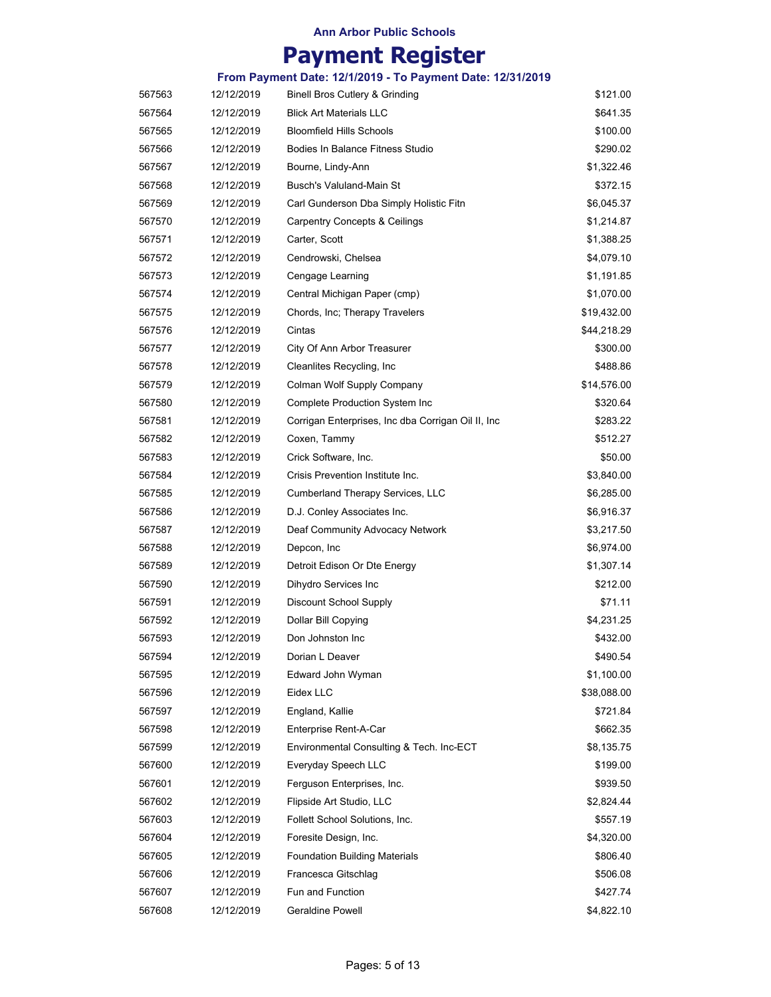|        |            | From Payment Date: 12/1/2019 - To Payment Date: 12/31/2019 |             |
|--------|------------|------------------------------------------------------------|-------------|
| 567563 | 12/12/2019 | <b>Binell Bros Cutlery &amp; Grinding</b>                  | \$121.00    |
| 567564 | 12/12/2019 | <b>Blick Art Materials LLC</b>                             | \$641.35    |
| 567565 | 12/12/2019 | <b>Bloomfield Hills Schools</b>                            | \$100.00    |
| 567566 | 12/12/2019 | Bodies In Balance Fitness Studio                           | \$290.02    |
| 567567 | 12/12/2019 | Bourne, Lindy-Ann                                          | \$1,322.46  |
| 567568 | 12/12/2019 | Busch's Valuland-Main St                                   | \$372.15    |
| 567569 | 12/12/2019 | Carl Gunderson Dba Simply Holistic Fitn                    | \$6,045.37  |
| 567570 | 12/12/2019 | <b>Carpentry Concepts &amp; Ceilings</b>                   | \$1,214.87  |
| 567571 | 12/12/2019 | Carter, Scott                                              | \$1,388.25  |
| 567572 | 12/12/2019 | Cendrowski, Chelsea                                        | \$4,079.10  |
| 567573 | 12/12/2019 | Cengage Learning                                           | \$1,191.85  |
| 567574 | 12/12/2019 | Central Michigan Paper (cmp)                               | \$1,070.00  |
| 567575 | 12/12/2019 | Chords, Inc; Therapy Travelers                             | \$19,432.00 |
| 567576 | 12/12/2019 | Cintas                                                     | \$44,218.29 |
| 567577 | 12/12/2019 | City Of Ann Arbor Treasurer                                | \$300.00    |
| 567578 | 12/12/2019 | Cleanlites Recycling, Inc.                                 | \$488.86    |
| 567579 | 12/12/2019 | Colman Wolf Supply Company                                 | \$14,576.00 |
| 567580 | 12/12/2019 | Complete Production System Inc                             | \$320.64    |
| 567581 | 12/12/2019 | Corrigan Enterprises, Inc dba Corrigan Oil II, Inc         | \$283.22    |
| 567582 | 12/12/2019 | Coxen, Tammy                                               | \$512.27    |
| 567583 | 12/12/2019 | Crick Software, Inc.                                       | \$50.00     |
| 567584 | 12/12/2019 | Crisis Prevention Institute Inc.                           | \$3,840.00  |
| 567585 | 12/12/2019 | <b>Cumberland Therapy Services, LLC</b>                    | \$6,285.00  |
| 567586 | 12/12/2019 | D.J. Conley Associates Inc.                                | \$6,916.37  |
| 567587 | 12/12/2019 | Deaf Community Advocacy Network                            | \$3,217.50  |
| 567588 | 12/12/2019 | Depcon, Inc.                                               | \$6,974.00  |
| 567589 | 12/12/2019 | Detroit Edison Or Dte Energy                               | \$1,307.14  |
| 567590 | 12/12/2019 | Dihydro Services Inc                                       | \$212.00    |
| 567591 | 12/12/2019 | Discount School Supply                                     | \$71.11     |
| 567592 | 12/12/2019 | Dollar Bill Copying                                        | \$4,231.25  |
| 567593 | 12/12/2019 | Don Johnston Inc                                           | \$432.00    |
| 567594 | 12/12/2019 | Dorian L Deaver                                            | \$490.54    |
| 567595 | 12/12/2019 | Edward John Wyman                                          | \$1,100.00  |
| 567596 | 12/12/2019 | Eidex LLC                                                  | \$38,088.00 |
| 567597 | 12/12/2019 | England, Kallie                                            | \$721.84    |
| 567598 | 12/12/2019 | Enterprise Rent-A-Car                                      | \$662.35    |
| 567599 | 12/12/2019 | Environmental Consulting & Tech. Inc-ECT                   | \$8,135.75  |
| 567600 | 12/12/2019 | Everyday Speech LLC                                        | \$199.00    |
| 567601 | 12/12/2019 | Ferguson Enterprises, Inc.                                 | \$939.50    |
| 567602 | 12/12/2019 | Flipside Art Studio, LLC                                   | \$2,824.44  |
| 567603 | 12/12/2019 | Follett School Solutions, Inc.                             | \$557.19    |
| 567604 | 12/12/2019 | Foresite Design, Inc.                                      | \$4,320.00  |
| 567605 | 12/12/2019 | <b>Foundation Building Materials</b>                       | \$806.40    |
| 567606 | 12/12/2019 | Francesca Gitschlag                                        | \$506.08    |
| 567607 | 12/12/2019 | Fun and Function                                           | \$427.74    |
| 567608 | 12/12/2019 | Geraldine Powell                                           | \$4,822.10  |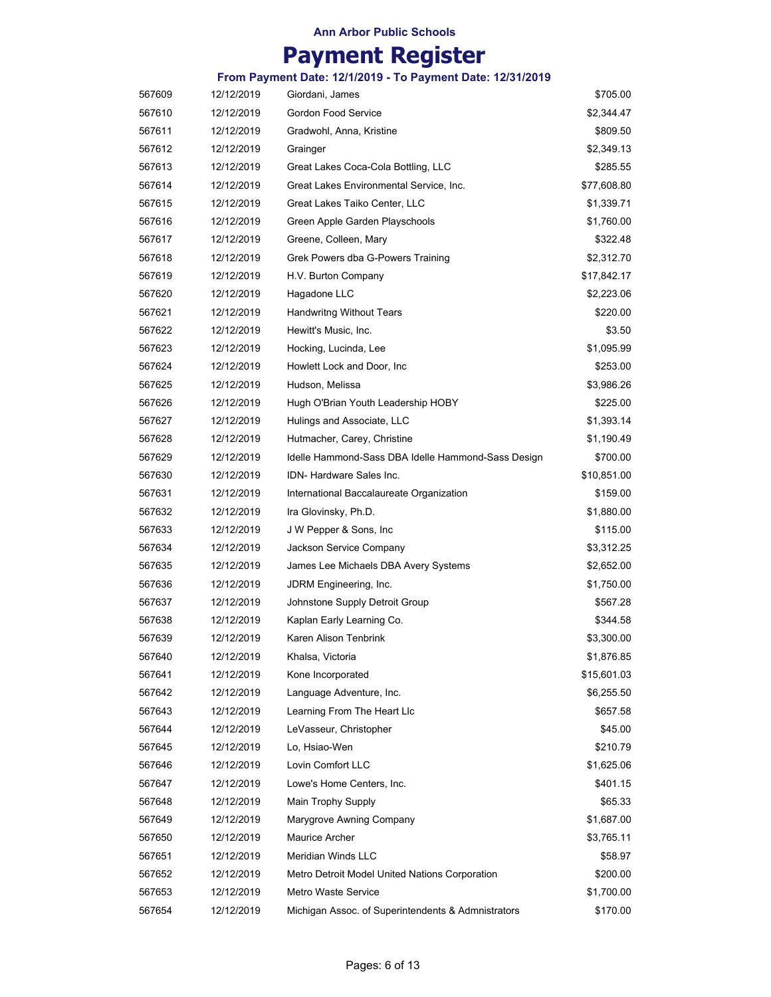# **Payment Register**

| 567609 | 12/12/2019 | Giordani, James                                    | \$705.00    |
|--------|------------|----------------------------------------------------|-------------|
| 567610 | 12/12/2019 | Gordon Food Service                                | \$2,344.47  |
| 567611 | 12/12/2019 | Gradwohl, Anna, Kristine                           | \$809.50    |
| 567612 | 12/12/2019 | Grainger                                           | \$2,349.13  |
| 567613 | 12/12/2019 | Great Lakes Coca-Cola Bottling, LLC                | \$285.55    |
| 567614 | 12/12/2019 | Great Lakes Environmental Service, Inc.            | \$77,608.80 |
| 567615 | 12/12/2019 | Great Lakes Taiko Center, LLC                      | \$1,339.71  |
| 567616 | 12/12/2019 | Green Apple Garden Playschools                     | \$1,760.00  |
| 567617 | 12/12/2019 | Greene, Colleen, Mary                              | \$322.48    |
| 567618 | 12/12/2019 | Grek Powers dba G-Powers Training                  | \$2,312.70  |
| 567619 | 12/12/2019 | H.V. Burton Company                                | \$17,842.17 |
| 567620 | 12/12/2019 | Hagadone LLC                                       | \$2,223.06  |
| 567621 | 12/12/2019 | <b>Handwritng Without Tears</b>                    | \$220.00    |
| 567622 | 12/12/2019 | Hewitt's Music, Inc.                               | \$3.50      |
| 567623 | 12/12/2019 | Hocking, Lucinda, Lee                              | \$1,095.99  |
| 567624 | 12/12/2019 | Howlett Lock and Door, Inc.                        | \$253.00    |
| 567625 | 12/12/2019 | Hudson, Melissa                                    | \$3,986.26  |
| 567626 | 12/12/2019 | Hugh O'Brian Youth Leadership HOBY                 | \$225.00    |
| 567627 | 12/12/2019 | Hulings and Associate, LLC                         | \$1,393.14  |
| 567628 | 12/12/2019 | Hutmacher, Carey, Christine                        | \$1,190.49  |
| 567629 | 12/12/2019 | Idelle Hammond-Sass DBA Idelle Hammond-Sass Design | \$700.00    |
| 567630 | 12/12/2019 | <b>IDN- Hardware Sales Inc.</b>                    | \$10,851.00 |
| 567631 | 12/12/2019 | International Baccalaureate Organization           | \$159.00    |
| 567632 | 12/12/2019 | Ira Glovinsky, Ph.D.                               | \$1,880.00  |
| 567633 | 12/12/2019 | J W Pepper & Sons, Inc.                            | \$115.00    |
| 567634 | 12/12/2019 | Jackson Service Company                            | \$3,312.25  |
| 567635 | 12/12/2019 | James Lee Michaels DBA Avery Systems               | \$2,652.00  |
| 567636 | 12/12/2019 | JDRM Engineering, Inc.                             | \$1,750.00  |
| 567637 | 12/12/2019 | Johnstone Supply Detroit Group                     | \$567.28    |
| 567638 | 12/12/2019 | Kaplan Early Learning Co.                          | \$344.58    |
| 567639 | 12/12/2019 | Karen Alison Tenbrink                              | \$3,300.00  |
| 567640 | 12/12/2019 | Khalsa, Victoria                                   | \$1,876.85  |
| 567641 | 12/12/2019 | Kone Incorporated                                  | \$15,601.03 |
| 567642 | 12/12/2019 | Language Adventure, Inc.                           | \$6,255.50  |
| 567643 | 12/12/2019 | Learning From The Heart Llc                        | \$657.58    |
| 567644 | 12/12/2019 | LeVasseur, Christopher                             | \$45.00     |
| 567645 | 12/12/2019 | Lo, Hsiao-Wen                                      | \$210.79    |
| 567646 | 12/12/2019 | Lovin Comfort LLC                                  | \$1,625.06  |
| 567647 | 12/12/2019 | Lowe's Home Centers, Inc.                          | \$401.15    |
| 567648 | 12/12/2019 | Main Trophy Supply                                 | \$65.33     |
| 567649 | 12/12/2019 | Marygrove Awning Company                           | \$1,687.00  |
| 567650 | 12/12/2019 | Maurice Archer                                     | \$3,765.11  |
| 567651 | 12/12/2019 | Meridian Winds LLC                                 | \$58.97     |
| 567652 | 12/12/2019 | Metro Detroit Model United Nations Corporation     | \$200.00    |
| 567653 | 12/12/2019 | Metro Waste Service                                | \$1,700.00  |
| 567654 | 12/12/2019 | Michigan Assoc. of Superintendents & Admnistrators | \$170.00    |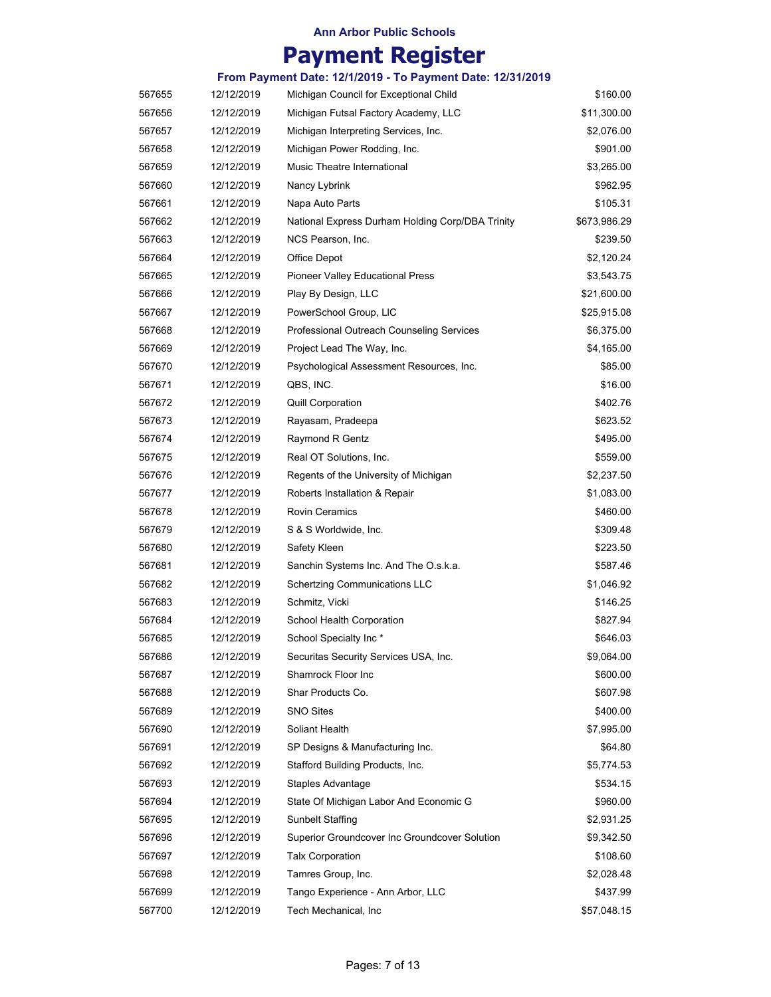|        |            | From Payment Date: 12/1/2019 - To Payment Date: 12/31/2019 |              |
|--------|------------|------------------------------------------------------------|--------------|
| 567655 | 12/12/2019 | Michigan Council for Exceptional Child                     | \$160.00     |
| 567656 | 12/12/2019 | Michigan Futsal Factory Academy, LLC                       | \$11,300.00  |
| 567657 | 12/12/2019 | Michigan Interpreting Services, Inc.                       | \$2,076.00   |
| 567658 | 12/12/2019 | Michigan Power Rodding, Inc.                               | \$901.00     |
| 567659 | 12/12/2019 | Music Theatre International                                | \$3,265.00   |
| 567660 | 12/12/2019 | Nancy Lybrink                                              | \$962.95     |
| 567661 | 12/12/2019 | Napa Auto Parts                                            | \$105.31     |
| 567662 | 12/12/2019 | National Express Durham Holding Corp/DBA Trinity           | \$673,986.29 |
| 567663 | 12/12/2019 | NCS Pearson, Inc.                                          | \$239.50     |
| 567664 | 12/12/2019 | Office Depot                                               | \$2,120.24   |
| 567665 | 12/12/2019 | Pioneer Valley Educational Press                           | \$3,543.75   |
| 567666 | 12/12/2019 | Play By Design, LLC                                        | \$21,600.00  |
| 567667 | 12/12/2019 | PowerSchool Group, LIC                                     | \$25,915.08  |
| 567668 | 12/12/2019 | Professional Outreach Counseling Services                  | \$6,375.00   |
| 567669 | 12/12/2019 | Project Lead The Way, Inc.                                 | \$4,165.00   |
| 567670 | 12/12/2019 | Psychological Assessment Resources, Inc.                   | \$85.00      |
| 567671 | 12/12/2019 | QBS, INC.                                                  | \$16.00      |
| 567672 | 12/12/2019 | <b>Quill Corporation</b>                                   | \$402.76     |
| 567673 | 12/12/2019 | Rayasam, Pradeepa                                          | \$623.52     |
| 567674 | 12/12/2019 | Raymond R Gentz                                            | \$495.00     |
| 567675 | 12/12/2019 | Real OT Solutions, Inc.                                    | \$559.00     |
| 567676 | 12/12/2019 | Regents of the University of Michigan                      | \$2,237.50   |
| 567677 | 12/12/2019 | Roberts Installation & Repair                              | \$1,083.00   |
| 567678 | 12/12/2019 | <b>Rovin Ceramics</b>                                      | \$460.00     |
| 567679 | 12/12/2019 | S & S Worldwide, Inc.                                      | \$309.48     |
| 567680 | 12/12/2019 | Safety Kleen                                               | \$223.50     |
| 567681 | 12/12/2019 | Sanchin Systems Inc. And The O.s.k.a.                      | \$587.46     |
| 567682 | 12/12/2019 | <b>Schertzing Communications LLC</b>                       | \$1,046.92   |
| 567683 | 12/12/2019 | Schmitz, Vicki                                             | \$146.25     |
| 567684 | 12/12/2019 | School Health Corporation                                  | \$827.94     |
| 567685 | 12/12/2019 | School Specialty Inc*                                      | \$646.03     |
| 567686 | 12/12/2019 | Securitas Security Services USA, Inc.                      | \$9,064.00   |
| 567687 | 12/12/2019 | Shamrock Floor Inc                                         | \$600.00     |
| 567688 | 12/12/2019 | Shar Products Co.                                          | \$607.98     |
| 567689 | 12/12/2019 | <b>SNO Sites</b>                                           | \$400.00     |
| 567690 | 12/12/2019 | Soliant Health                                             | \$7,995.00   |
| 567691 | 12/12/2019 | SP Designs & Manufacturing Inc.                            | \$64.80      |
| 567692 | 12/12/2019 | Stafford Building Products, Inc.                           | \$5,774.53   |
| 567693 | 12/12/2019 | Staples Advantage                                          | \$534.15     |
| 567694 | 12/12/2019 | State Of Michigan Labor And Economic G                     | \$960.00     |
| 567695 | 12/12/2019 | <b>Sunbelt Staffing</b>                                    | \$2,931.25   |
| 567696 | 12/12/2019 | Superior Groundcover Inc Groundcover Solution              | \$9,342.50   |
| 567697 | 12/12/2019 | <b>Talx Corporation</b>                                    | \$108.60     |
| 567698 | 12/12/2019 | Tamres Group, Inc.                                         | \$2,028.48   |
| 567699 | 12/12/2019 | Tango Experience - Ann Arbor, LLC                          | \$437.99     |
| 567700 | 12/12/2019 | Tech Mechanical, Inc                                       | \$57,048.15  |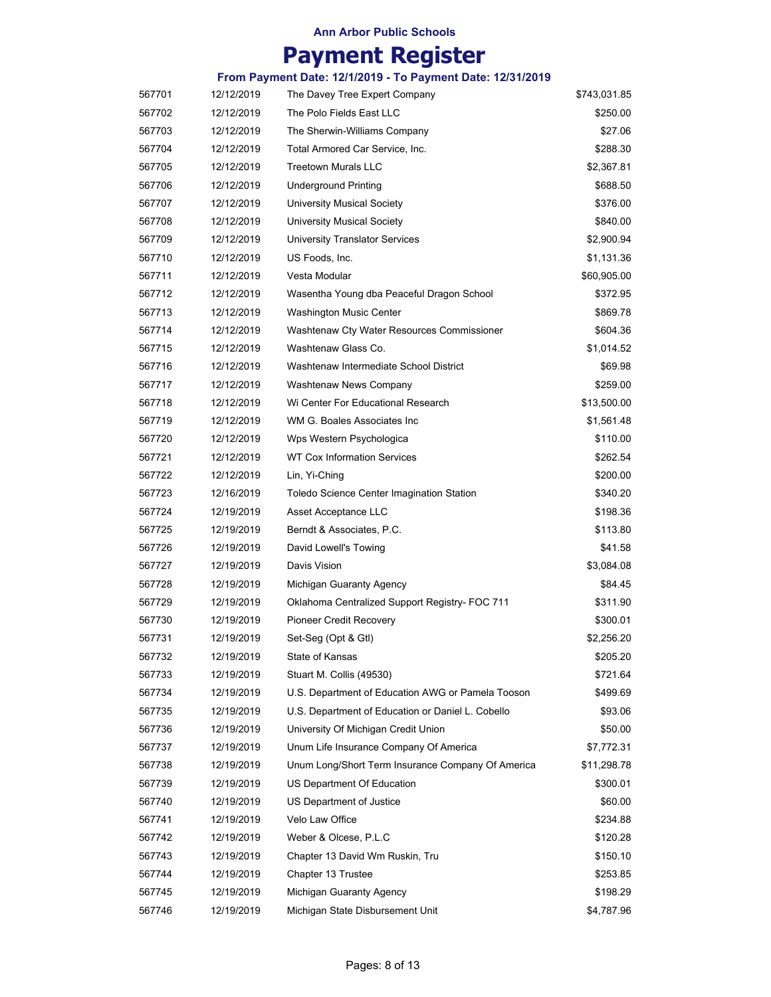|        |            | From Payment Date: 12/1/2019 - To Payment Date: 12/31/2019 |              |
|--------|------------|------------------------------------------------------------|--------------|
| 567701 | 12/12/2019 | The Davey Tree Expert Company                              | \$743,031.85 |
| 567702 | 12/12/2019 | The Polo Fields East LLC                                   | \$250.00     |
| 567703 | 12/12/2019 | The Sherwin-Williams Company                               | \$27.06      |
| 567704 | 12/12/2019 | Total Armored Car Service, Inc.                            | \$288.30     |
| 567705 | 12/12/2019 | <b>Treetown Murals LLC</b>                                 | \$2,367.81   |
| 567706 | 12/12/2019 | <b>Underground Printing</b>                                | \$688.50     |
| 567707 | 12/12/2019 | <b>University Musical Society</b>                          | \$376.00     |
| 567708 | 12/12/2019 | University Musical Society                                 | \$840.00     |
| 567709 | 12/12/2019 | <b>University Translator Services</b>                      | \$2,900.94   |
| 567710 | 12/12/2019 | US Foods, Inc.                                             | \$1,131.36   |
| 567711 | 12/12/2019 | Vesta Modular                                              | \$60,905.00  |
| 567712 | 12/12/2019 | Wasentha Young dba Peaceful Dragon School                  | \$372.95     |
| 567713 | 12/12/2019 | Washington Music Center                                    | \$869.78     |
| 567714 | 12/12/2019 | Washtenaw Cty Water Resources Commissioner                 | \$604.36     |
| 567715 | 12/12/2019 | Washtenaw Glass Co.                                        | \$1,014.52   |
| 567716 | 12/12/2019 | Washtenaw Intermediate School District                     | \$69.98      |
| 567717 | 12/12/2019 | <b>Washtenaw News Company</b>                              | \$259.00     |
| 567718 | 12/12/2019 | Wi Center For Educational Research                         | \$13,500.00  |
| 567719 | 12/12/2019 | WM G. Boales Associates Inc                                | \$1,561.48   |
| 567720 | 12/12/2019 | Wps Western Psychologica                                   | \$110.00     |
| 567721 | 12/12/2019 | <b>WT Cox Information Services</b>                         | \$262.54     |
| 567722 | 12/12/2019 | Lin, Yi-Ching                                              | \$200.00     |
| 567723 | 12/16/2019 | Toledo Science Center Imagination Station                  | \$340.20     |
| 567724 | 12/19/2019 | Asset Acceptance LLC                                       | \$198.36     |
| 567725 | 12/19/2019 | Berndt & Associates, P.C.                                  | \$113.80     |
| 567726 | 12/19/2019 | David Lowell's Towing                                      | \$41.58      |
| 567727 | 12/19/2019 | Davis Vision                                               | \$3,084.08   |
| 567728 | 12/19/2019 | Michigan Guaranty Agency                                   | \$84.45      |
| 567729 | 12/19/2019 | Oklahoma Centralized Support Registry- FOC 711             | \$311.90     |
| 567730 | 12/19/2019 | <b>Pioneer Credit Recovery</b>                             | \$300.01     |
| 567731 | 12/19/2019 | Set-Seg (Opt & Gtl)                                        | \$2,256.20   |
| 567732 | 12/19/2019 | State of Kansas                                            | \$205.20     |
| 567733 | 12/19/2019 | Stuart M. Collis (49530)                                   | \$721.64     |
| 567734 | 12/19/2019 | U.S. Department of Education AWG or Pamela Tooson          | \$499.69     |
| 567735 | 12/19/2019 | U.S. Department of Education or Daniel L. Cobello          | \$93.06      |
| 567736 | 12/19/2019 | University Of Michigan Credit Union                        | \$50.00      |
| 567737 | 12/19/2019 | Unum Life Insurance Company Of America                     | \$7,772.31   |
| 567738 | 12/19/2019 | Unum Long/Short Term Insurance Company Of America          | \$11,298.78  |
| 567739 | 12/19/2019 | US Department Of Education                                 | \$300.01     |
| 567740 | 12/19/2019 | US Department of Justice                                   | \$60.00      |
| 567741 | 12/19/2019 | Velo Law Office                                            | \$234.88     |
| 567742 | 12/19/2019 | Weber & Olcese, P.L.C                                      | \$120.28     |
| 567743 | 12/19/2019 | Chapter 13 David Wm Ruskin, Tru                            | \$150.10     |
| 567744 | 12/19/2019 | Chapter 13 Trustee                                         | \$253.85     |
| 567745 | 12/19/2019 | Michigan Guaranty Agency                                   | \$198.29     |
| 567746 | 12/19/2019 | Michigan State Disbursement Unit                           | \$4,787.96   |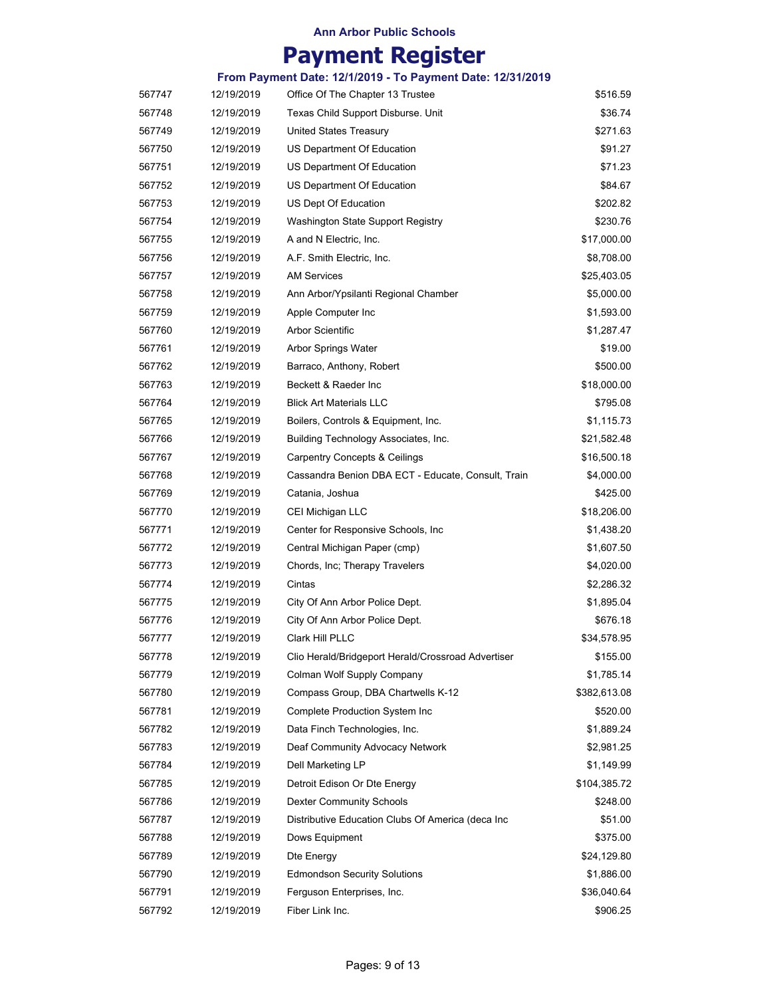|        |            | From Payment Date: 12/1/2019 - To Payment Date: 12/31/2019 |              |
|--------|------------|------------------------------------------------------------|--------------|
| 567747 | 12/19/2019 | Office Of The Chapter 13 Trustee                           | \$516.59     |
| 567748 | 12/19/2019 | Texas Child Support Disburse. Unit                         | \$36.74      |
| 567749 | 12/19/2019 | United States Treasury                                     | \$271.63     |
| 567750 | 12/19/2019 | US Department Of Education                                 | \$91.27      |
| 567751 | 12/19/2019 | US Department Of Education                                 | \$71.23      |
| 567752 | 12/19/2019 | US Department Of Education                                 | \$84.67      |
| 567753 | 12/19/2019 | US Dept Of Education                                       | \$202.82     |
| 567754 | 12/19/2019 | Washington State Support Registry                          | \$230.76     |
| 567755 | 12/19/2019 | A and N Electric, Inc.                                     | \$17,000.00  |
| 567756 | 12/19/2019 | A.F. Smith Electric, Inc.                                  | \$8,708.00   |
| 567757 | 12/19/2019 | <b>AM Services</b>                                         | \$25,403.05  |
| 567758 | 12/19/2019 | Ann Arbor/Ypsilanti Regional Chamber                       | \$5,000.00   |
| 567759 | 12/19/2019 | Apple Computer Inc                                         | \$1,593.00   |
| 567760 | 12/19/2019 | <b>Arbor Scientific</b>                                    | \$1,287.47   |
| 567761 | 12/19/2019 | Arbor Springs Water                                        | \$19.00      |
| 567762 | 12/19/2019 | Barraco, Anthony, Robert                                   | \$500.00     |
| 567763 | 12/19/2019 | Beckett & Raeder Inc                                       | \$18,000.00  |
| 567764 | 12/19/2019 | <b>Blick Art Materials LLC</b>                             | \$795.08     |
| 567765 | 12/19/2019 | Boilers, Controls & Equipment, Inc.                        | \$1,115.73   |
| 567766 | 12/19/2019 | Building Technology Associates, Inc.                       | \$21,582.48  |
| 567767 | 12/19/2019 | <b>Carpentry Concepts &amp; Ceilings</b>                   | \$16,500.18  |
| 567768 | 12/19/2019 | Cassandra Benion DBA ECT - Educate, Consult, Train         | \$4,000.00   |
| 567769 | 12/19/2019 | Catania, Joshua                                            | \$425.00     |
| 567770 | 12/19/2019 | CEI Michigan LLC                                           | \$18,206.00  |
| 567771 | 12/19/2019 | Center for Responsive Schools, Inc.                        | \$1,438.20   |
| 567772 | 12/19/2019 | Central Michigan Paper (cmp)                               | \$1,607.50   |
| 567773 | 12/19/2019 | Chords, Inc; Therapy Travelers                             | \$4,020.00   |
| 567774 | 12/19/2019 | Cintas                                                     | \$2,286.32   |
| 567775 | 12/19/2019 | City Of Ann Arbor Police Dept.                             | \$1,895.04   |
| 567776 | 12/19/2019 | City Of Ann Arbor Police Dept.                             | \$676.18     |
| 567777 | 12/19/2019 | Clark Hill PLLC                                            | \$34,578.95  |
| 567778 | 12/19/2019 | Clio Herald/Bridgeport Herald/Crossroad Advertiser         | \$155.00     |
| 567779 | 12/19/2019 | Colman Wolf Supply Company                                 | \$1,785.14   |
| 567780 | 12/19/2019 | Compass Group, DBA Chartwells K-12                         | \$382,613.08 |
| 567781 | 12/19/2019 | <b>Complete Production System Inc</b>                      | \$520.00     |
| 567782 | 12/19/2019 | Data Finch Technologies, Inc.                              | \$1,889.24   |
| 567783 | 12/19/2019 | Deaf Community Advocacy Network                            | \$2,981.25   |
| 567784 | 12/19/2019 | Dell Marketing LP                                          | \$1,149.99   |
| 567785 | 12/19/2019 | Detroit Edison Or Dte Energy                               | \$104,385.72 |
| 567786 | 12/19/2019 | <b>Dexter Community Schools</b>                            | \$248.00     |
| 567787 | 12/19/2019 | Distributive Education Clubs Of America (deca Inc          | \$51.00      |
| 567788 | 12/19/2019 | Dows Equipment                                             | \$375.00     |
| 567789 | 12/19/2019 | Dte Energy                                                 | \$24,129.80  |
| 567790 | 12/19/2019 | <b>Edmondson Security Solutions</b>                        | \$1,886.00   |
| 567791 | 12/19/2019 | Ferguson Enterprises, Inc.                                 | \$36,040.64  |
| 567792 | 12/19/2019 | Fiber Link Inc.                                            | \$906.25     |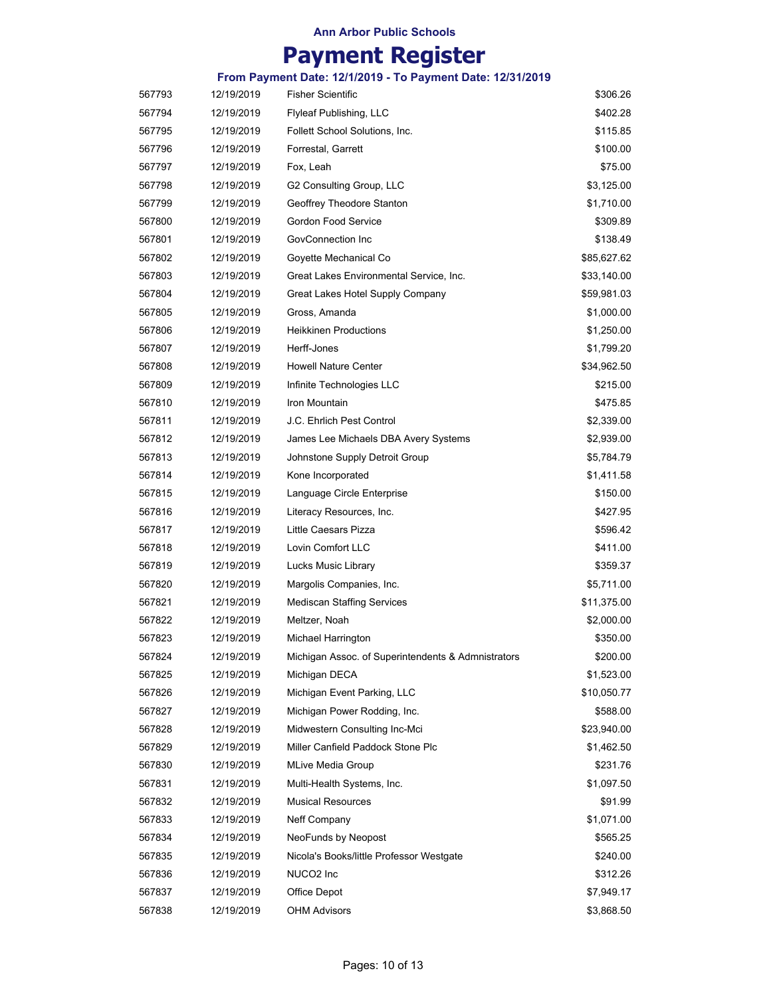# **Payment Register**

| 567793 | 12/19/2019 | <b>Fisher Scientific</b>                           | \$306.26    |
|--------|------------|----------------------------------------------------|-------------|
| 567794 | 12/19/2019 | Flyleaf Publishing, LLC                            | \$402.28    |
| 567795 | 12/19/2019 | Follett School Solutions, Inc.                     | \$115.85    |
| 567796 | 12/19/2019 | Forrestal, Garrett                                 | \$100.00    |
| 567797 | 12/19/2019 | Fox, Leah                                          | \$75.00     |
| 567798 | 12/19/2019 | G2 Consulting Group, LLC                           | \$3,125.00  |
| 567799 | 12/19/2019 | Geoffrey Theodore Stanton                          | \$1,710.00  |
| 567800 | 12/19/2019 | Gordon Food Service                                | \$309.89    |
| 567801 | 12/19/2019 | GovConnection Inc                                  | \$138.49    |
| 567802 | 12/19/2019 | Goyette Mechanical Co                              | \$85,627.62 |
| 567803 | 12/19/2019 | Great Lakes Environmental Service, Inc.            | \$33,140.00 |
| 567804 | 12/19/2019 | Great Lakes Hotel Supply Company                   | \$59,981.03 |
| 567805 | 12/19/2019 | Gross, Amanda                                      | \$1,000.00  |
| 567806 | 12/19/2019 | <b>Heikkinen Productions</b>                       | \$1,250.00  |
| 567807 | 12/19/2019 | Herff-Jones                                        | \$1,799.20  |
| 567808 | 12/19/2019 | <b>Howell Nature Center</b>                        | \$34,962.50 |
| 567809 | 12/19/2019 | Infinite Technologies LLC                          | \$215.00    |
| 567810 | 12/19/2019 | Iron Mountain                                      | \$475.85    |
| 567811 | 12/19/2019 | J.C. Ehrlich Pest Control                          | \$2,339.00  |
| 567812 | 12/19/2019 | James Lee Michaels DBA Avery Systems               | \$2,939.00  |
| 567813 | 12/19/2019 | Johnstone Supply Detroit Group                     | \$5,784.79  |
| 567814 | 12/19/2019 | Kone Incorporated                                  | \$1,411.58  |
| 567815 | 12/19/2019 | Language Circle Enterprise                         | \$150.00    |
| 567816 | 12/19/2019 | Literacy Resources, Inc.                           | \$427.95    |
| 567817 | 12/19/2019 | Little Caesars Pizza                               | \$596.42    |
| 567818 | 12/19/2019 | Lovin Comfort LLC                                  | \$411.00    |
| 567819 | 12/19/2019 | Lucks Music Library                                | \$359.37    |
| 567820 | 12/19/2019 | Margolis Companies, Inc.                           | \$5,711.00  |
| 567821 | 12/19/2019 | <b>Mediscan Staffing Services</b>                  | \$11,375.00 |
| 567822 | 12/19/2019 | Meltzer, Noah                                      | \$2,000.00  |
| 567823 | 12/19/2019 | Michael Harrington                                 | \$350.00    |
| 567824 | 12/19/2019 | Michigan Assoc. of Superintendents & Admnistrators | \$200.00    |
| 567825 | 12/19/2019 | Michigan DECA                                      | \$1,523.00  |
| 567826 | 12/19/2019 | Michigan Event Parking, LLC                        | \$10,050.77 |
| 567827 | 12/19/2019 | Michigan Power Rodding, Inc.                       | \$588.00    |
| 567828 | 12/19/2019 | Midwestern Consulting Inc-Mci                      | \$23,940.00 |
| 567829 | 12/19/2019 | Miller Canfield Paddock Stone Plc                  | \$1,462.50  |
| 567830 | 12/19/2019 | MLive Media Group                                  | \$231.76    |
| 567831 | 12/19/2019 | Multi-Health Systems, Inc.                         | \$1,097.50  |
| 567832 | 12/19/2019 | <b>Musical Resources</b>                           | \$91.99     |
| 567833 | 12/19/2019 | Neff Company                                       | \$1,071.00  |
| 567834 | 12/19/2019 | NeoFunds by Neopost                                | \$565.25    |
| 567835 | 12/19/2019 | Nicola's Books/little Professor Westgate           | \$240.00    |
| 567836 | 12/19/2019 | NUCO2 Inc                                          | \$312.26    |
| 567837 | 12/19/2019 | Office Depot                                       | \$7,949.17  |
| 567838 | 12/19/2019 | OHM Advisors                                       | \$3,868.50  |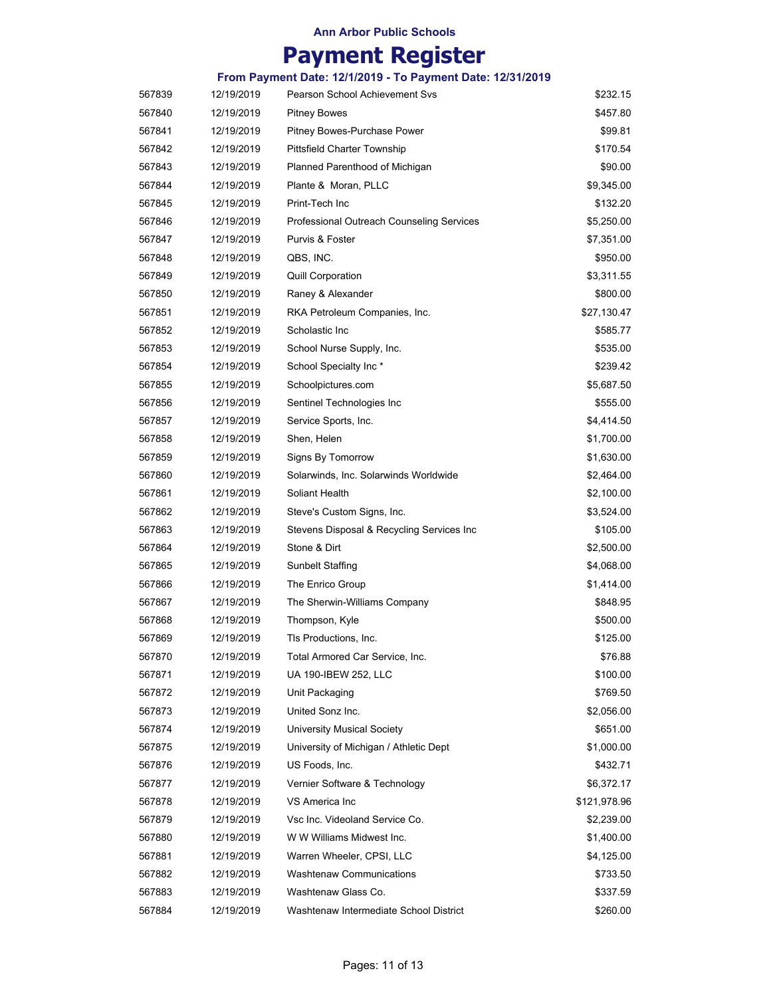|        |            | From Payment Date: 12/1/2019 - To Payment Date: 12/31/2019 |              |
|--------|------------|------------------------------------------------------------|--------------|
| 567839 | 12/19/2019 | <b>Pearson School Achievement Svs</b>                      | \$232.15     |
| 567840 | 12/19/2019 | <b>Pitney Bowes</b>                                        | \$457.80     |
| 567841 | 12/19/2019 | Pitney Bowes-Purchase Power                                | \$99.81      |
| 567842 | 12/19/2019 | <b>Pittsfield Charter Township</b>                         | \$170.54     |
| 567843 | 12/19/2019 | Planned Parenthood of Michigan                             | \$90.00      |
| 567844 | 12/19/2019 | Plante & Moran, PLLC                                       | \$9,345.00   |
| 567845 | 12/19/2019 | Print-Tech Inc                                             | \$132.20     |
| 567846 | 12/19/2019 | Professional Outreach Counseling Services                  | \$5,250.00   |
| 567847 | 12/19/2019 | Purvis & Foster                                            | \$7,351.00   |
| 567848 | 12/19/2019 | QBS, INC.                                                  | \$950.00     |
| 567849 | 12/19/2019 | <b>Quill Corporation</b>                                   | \$3,311.55   |
| 567850 | 12/19/2019 | Raney & Alexander                                          | \$800.00     |
| 567851 | 12/19/2019 | RKA Petroleum Companies, Inc.                              | \$27,130.47  |
| 567852 | 12/19/2019 | Scholastic Inc                                             | \$585.77     |
| 567853 | 12/19/2019 | School Nurse Supply, Inc.                                  | \$535.00     |
| 567854 | 12/19/2019 | School Specialty Inc*                                      | \$239.42     |
| 567855 | 12/19/2019 | Schoolpictures.com                                         | \$5,687.50   |
| 567856 | 12/19/2019 | Sentinel Technologies Inc                                  | \$555.00     |
| 567857 | 12/19/2019 | Service Sports, Inc.                                       | \$4,414.50   |
| 567858 | 12/19/2019 | Shen, Helen                                                | \$1,700.00   |
| 567859 | 12/19/2019 | Signs By Tomorrow                                          | \$1,630.00   |
| 567860 | 12/19/2019 | Solarwinds, Inc. Solarwinds Worldwide                      | \$2,464.00   |
| 567861 | 12/19/2019 | Soliant Health                                             | \$2,100.00   |
| 567862 | 12/19/2019 | Steve's Custom Signs, Inc.                                 | \$3,524.00   |
| 567863 | 12/19/2019 | Stevens Disposal & Recycling Services Inc                  | \$105.00     |
| 567864 | 12/19/2019 | Stone & Dirt                                               | \$2,500.00   |
| 567865 | 12/19/2019 | <b>Sunbelt Staffing</b>                                    | \$4,068.00   |
| 567866 | 12/19/2019 | The Enrico Group                                           | \$1,414.00   |
| 567867 | 12/19/2019 | The Sherwin-Williams Company                               | \$848.95     |
| 567868 | 12/19/2019 | Thompson, Kyle                                             | \$500.00     |
| 567869 | 12/19/2019 | Tls Productions, Inc.                                      | \$125.00     |
| 567870 | 12/19/2019 | Total Armored Car Service, Inc.                            | \$76.88      |
| 567871 | 12/19/2019 | UA 190-IBEW 252, LLC                                       | \$100.00     |
| 567872 | 12/19/2019 | Unit Packaging                                             | \$769.50     |
| 567873 | 12/19/2019 | United Sonz Inc.                                           | \$2,056.00   |
| 567874 | 12/19/2019 | <b>University Musical Society</b>                          | \$651.00     |
| 567875 | 12/19/2019 | University of Michigan / Athletic Dept                     | \$1,000.00   |
| 567876 | 12/19/2019 | US Foods, Inc.                                             | \$432.71     |
| 567877 | 12/19/2019 | Vernier Software & Technology                              | \$6,372.17   |
| 567878 | 12/19/2019 | VS America Inc                                             | \$121,978.96 |
| 567879 | 12/19/2019 | Vsc Inc. Videoland Service Co.                             | \$2,239.00   |
| 567880 | 12/19/2019 | W W Williams Midwest Inc.                                  | \$1,400.00   |
| 567881 | 12/19/2019 | Warren Wheeler, CPSI, LLC                                  | \$4,125.00   |
| 567882 | 12/19/2019 | <b>Washtenaw Communications</b>                            | \$733.50     |
| 567883 | 12/19/2019 | Washtenaw Glass Co.                                        | \$337.59     |
| 567884 | 12/19/2019 | Washtenaw Intermediate School District                     | \$260.00     |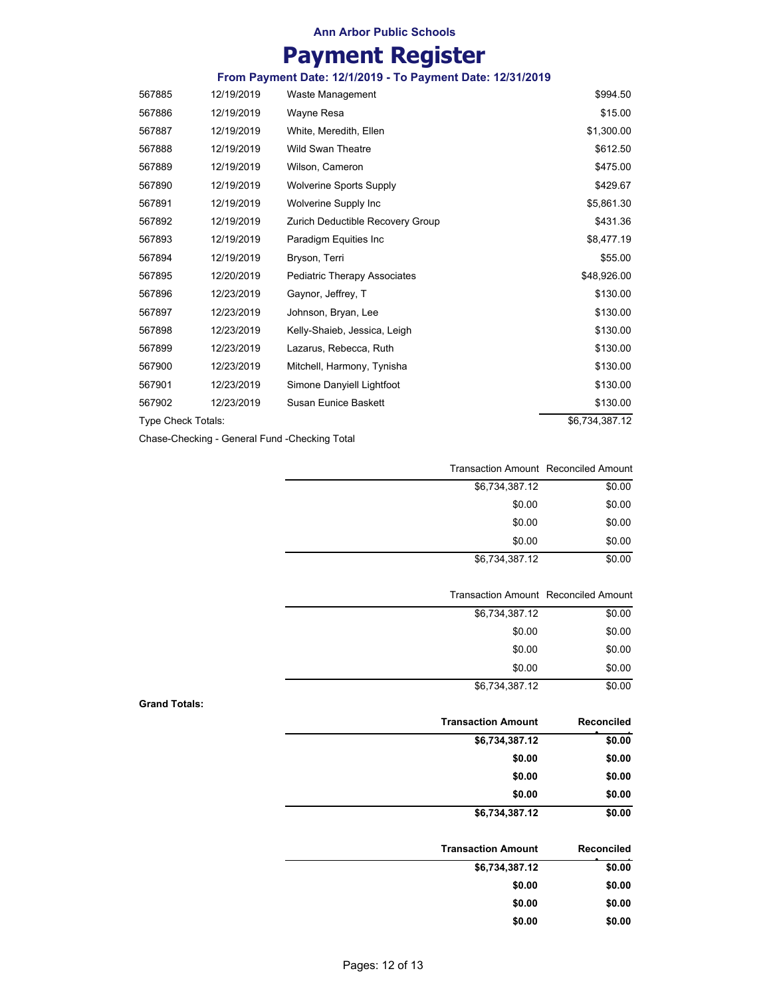# **Payment Register**

| From Payment Date: 12/1/2019 - To Payment Date: 12/31/2019 |  |
|------------------------------------------------------------|--|

| 567885             | 12/19/2019 | Waste Management                 | \$994.50       |
|--------------------|------------|----------------------------------|----------------|
| 567886             | 12/19/2019 | Wayne Resa                       | \$15.00        |
| 567887             | 12/19/2019 | White, Meredith, Ellen           | \$1,300.00     |
| 567888             | 12/19/2019 | <b>Wild Swan Theatre</b>         | \$612.50       |
| 567889             | 12/19/2019 | Wilson, Cameron                  | \$475.00       |
| 567890             | 12/19/2019 | <b>Wolverine Sports Supply</b>   | \$429.67       |
| 567891             | 12/19/2019 | Wolverine Supply Inc             | \$5,861.30     |
| 567892             | 12/19/2019 | Zurich Deductible Recovery Group | \$431.36       |
| 567893             | 12/19/2019 | Paradigm Equities Inc            | \$8,477.19     |
| 567894             | 12/19/2019 | Bryson, Terri                    | \$55.00        |
| 567895             | 12/20/2019 | Pediatric Therapy Associates     | \$48,926.00    |
| 567896             | 12/23/2019 | Gaynor, Jeffrey, T               | \$130.00       |
| 567897             | 12/23/2019 | Johnson, Bryan, Lee              | \$130.00       |
| 567898             | 12/23/2019 | Kelly-Shaieb, Jessica, Leigh     | \$130.00       |
| 567899             | 12/23/2019 | Lazarus, Rebecca, Ruth           | \$130.00       |
| 567900             | 12/23/2019 | Mitchell, Harmony, Tynisha       | \$130.00       |
| 567901             | 12/23/2019 | Simone Danyiell Lightfoot        | \$130.00       |
| 567902             | 12/23/2019 | <b>Susan Eunice Baskett</b>      | \$130.00       |
| Type Check Totals: |            |                                  | \$6,734,387.12 |

Chase-Checking - General Fund -Checking Total

| Transaction Amount Reconciled Amount |        |  |
|--------------------------------------|--------|--|
| \$6,734,387.12                       | \$0.00 |  |
| \$0.00                               | \$0.00 |  |
| \$0.00                               | \$0.00 |  |
| \$0.00                               | \$0.00 |  |
| \$6,734,387.12                       | \$0.00 |  |

|                | Transaction Amount Reconciled Amount |  |
|----------------|--------------------------------------|--|
| \$6,734,387.12 | \$0.00                               |  |
| \$0.00         | \$0.00                               |  |
| \$0.00         | \$0.00                               |  |
| \$0.00         | \$0.00                               |  |
| \$6,734,387.12 | \$0.00                               |  |

#### **Grand Totals:**

| <b>Transaction Amount</b> | Reconciled |
|---------------------------|------------|
| \$6,734,387.12            | \$0.00     |
| \$0.00                    | \$0.00     |
| \$0.00                    | \$0.00     |
| \$0.00                    | \$0.00     |
| \$6,734,387.12            | \$0.00     |

| <b>Transaction Amount</b> | Reconciled |
|---------------------------|------------|
| \$6,734,387.12            | \$0.00     |
| \$0.00                    | \$0.00     |
| \$0.00                    | \$0.00     |
| \$0.00                    | \$0.00     |